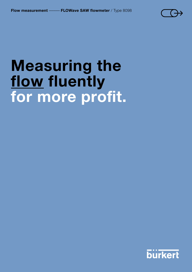

# Measuring the flow fluently for more profit.

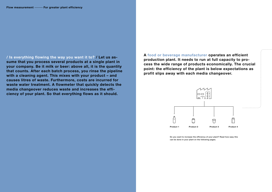/ Is everything flowing the way you want it to? / Let us assume that you process several products at a single plant in your company. Be it milk or beer: above all, it is the quantity that counts. After each batch process, you rinse the pipeline with a cleaning agent. This mixes with your product – and causes litres of waste. Furthermore, costs are incurred for waste water treatment. A flowmeter that quickly detects the media changeover reduces waste and increases the efficiency of your plant. So that everything flows as it should.

> Do you want to increase the efficiency of your plant? Read how easy this can be done in your plant on the following pages.





### A food or beverage manufacturer operates an efficient production plant. It needs to run at full capacity to process the wide range of products economically. The crucial point: the efficiency of the plant is below expectations as profit slips away with each media changeover.

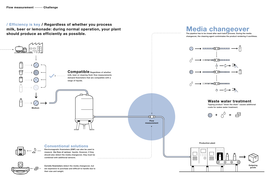changeover, the cleaning agent contminates the product rendering it worthless.



## Media Changeover The pipeline has to be rinsed after each batch process. During the media

/ Efficiency is key / Regardless of whether you process milk, beer or lemonade: during normal operation, your plant should produce as efficiently as possible.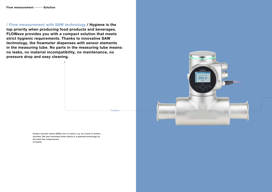

/ Flow measurement with SAW technology / Hygiene is the top priority when producing food products and beverages. FLOWave provides you with a compact solution that meets strict hygienic requirements. Thanks to innovative SAW technology, the flowmeter dispenses with sensor elements in the measuring tube. No parts in the measuring tube means: no leaks, no material incompatibility, no maintenance, no pressure drop and easy cleaning.

> Surface acoustic waves (SAW) occur in nature, e.g. as a result of seismic activities. We have harnessed these effects in a patented technology for the inline flow measurement of liquids.

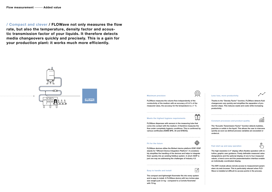#### Maximum precision

FLOWave measures the volume flow independently of the conductivity of the medium with an accuracy of 0.4% of the measured value, the accuracy for the temperature is  $\leq 1$  °C.

#### Meets the highest hygiene requirements

FLOWave dispenses with sensors in the measuring tube that come into contact with the medium. It therefore measures the flow under completely hygienic conditions. This is confirmed by various certificates (ASME BPE, 3A and EHEDG).

#### Fit for the future



illnulli ∯

FLOWave devices utilise the Bürkert device platform EDIP. EDIP stands for "Efficient Device Integration Platform". It considerably simplifies the handling of the devices and helps to integrate them quickly into an existing fieldbus system. In short: EDIP is just one way we addressing the challenges of Industry 4.0.

Easy to handle and install

 $\neg \swarrow$ 

The compact and lightweight flowmeter fits into every system and is easy to install. A FLOWave device with two inches pipe size weighs just 3.4 kg - compared to a Coriolis flowmeter with 70 kg.

ñN

#### Less loss, more productivity

Thanks to the "Density Factor" function, FLOWave detects fluid changeovers very quickly and simplifies the separation of production steps. This reduces waste and costs while increasing productivity.

#### Constant processes and product quality

The "Acoustic Transmission Factor" function detects bubbles, particles or solids in the liquid. This allows the user to intervene quickly as soon as defined process variables are exceeded or undercut.

#### Fast start-up and easy operation

The high-resolution 2.4" display offers flexible operation with intuitive, graphic user guidance. Freely definable measured value designations and the optional display of one to four measured values, a trend curve and the parameterisation interface enable an individually coordinated display.

The WiFi module allows remote access to measurement parameters via web browser. This is particularly relevant when FLO-Wave is installed at difficult-to-access points in the process.

/ Compact and clever / FLOWave not only measures the flow rate, but also the temperature, density factor and acoustic transmission factor of your liquids. It therefore detects media changeovers quickly and precisely. This is a gain for your production plant: it works much more efficiently.

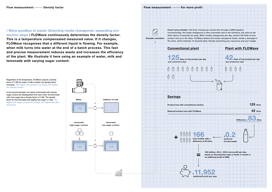/ Wave goodbye to waste: Detecting media changeover, separating production steps / FLOWave continuously determines the density factor. This is a temperature compensated measured value. If it changes, FLOWave recognises that a different liquid is flowing. For example, when milk turns into water at the end of a batch process. This fast and precise measurement reduces waste and increases the efficiency of the plant. We illustrate it here using an example of water, milk and lemonade with varying sugar content:

In the second example, two types of lemonade with varying sugar content are distinguished from each other: the lemonade with more sugar has a density factor of 1.025. The density factor for the lemonade with slightly less sugar is 1.002. The higher the sugar content of a liquid, the higher the density factor. The contract of the contract of the contract of the contract of the contract of the contract of the contract of the contract of the contract of the contract of the contract of the contract of the contract of t

Regardless of the temperature, FLOWave outputs a density factor of 1.000 for water. If milk is added, the density factor increases. The higher the density of a liquid, the higher the density factor.